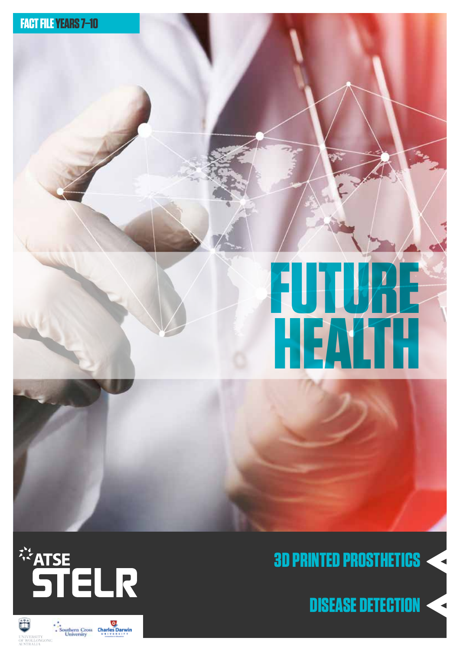

# **FUTURE HEALTH**



# **3D PRINTED PROSTHETICS**

**DISEASE DETECTION**

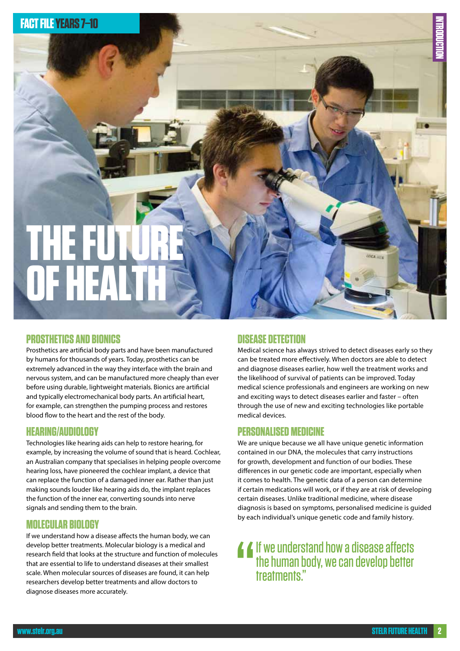

#### **PROSTHETICS AND BIONICS**

Prosthetics are artificial body parts and have been manufactured by humans for thousands of years. Today, prosthetics can be extremely advanced in the way they interface with the brain and nervous system, and can be manufactured more cheaply than ever before using durable, lightweight materials. Bionics are artificial and typically electromechanical body parts. An artificial heart, for example, can strengthen the pumping process and restores blood flow to the heart and the rest of the body.

#### **HEARING/AUDIOLOGY**

Technologies like hearing aids can help to restore hearing, for example, by increasing the volume of sound that is heard. Cochlear, an Australian company that specialises in helping people overcome hearing loss, have pioneered the cochlear implant, a device that can replace the function of a damaged inner ear. Rather than just making sounds louder like hearing aids do, the implant replaces the function of the inner ear, converting sounds into nerve signals and sending them to the brain.

#### **MOLECULAR BIOLOGY**

If we understand how a disease affects the human body, we can develop better treatments. Molecular biology is a medical and research field that looks at the structure and function of molecules that are essential to life to understand diseases at their smallest scale. When molecular sources of diseases are found, it can help researchers develop better treatments and allow doctors to diagnose diseases more accurately.

#### **DISEASE DETECTION**

Medical science has always strived to detect diseases early so they can be treated more effectively. When doctors are able to detect and diagnose diseases earlier, how well the treatment works and the likelihood of survival of patients can be improved. Today medical science professionals and engineers are working on new and exciting ways to detect diseases earlier and faster – often through the use of new and exciting technologies like portable medical devices.

#### **PERSONALISED MEDICINE**

We are unique because we all have unique genetic information contained in our DNA, the molecules that carry instructions for growth, development and function of our bodies. These differences in our genetic code are important, especially when it comes to health. The genetic data of a person can determine if certain medications will work, or if they are at risk of developing certain diseases. Unlike traditional medicine, where disease diagnosis is based on symptoms, personalised medicine is guided by each individual's unique genetic code and family history.

" If we understand how a disease affects the human body, we can develop better treatments."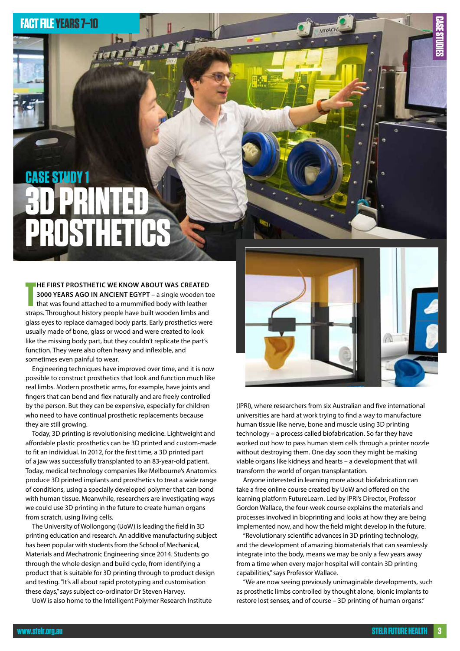### **FACT FILE YEARS 7–10**

# **3D PRINTED PROSTHETICS CASE STUDY 1**

**THE FIRST PROSTHETIC WE KNOW ABOUT WAS CREATED 3000 YEARS AGO IN ANCIENT EGYPT** – a single wooden to that was found attached to a mummified body with leather straps. Throughout history people have built wooden limbs and **HE FIRST PROSTHETIC WE KNOW ABOUT WAS CREATED 3000 YEARS AGO IN ANCIENT EGYPT** – a single wooden toe that was found attached to a mummified body with leather glass eyes to replace damaged body parts. Early prosthetics were usually made of bone, glass or wood and were created to look like the missing body part, but they couldn't replicate the part's function. They were also often heavy and inflexible, and sometimes even painful to wear.

Engineering techniques have improved over time, and it is now possible to construct prosthetics that look and function much like real limbs. Modern prosthetic arms, for example, have joints and fingers that can bend and flex naturally and are freely controlled by the person. But they can be expensive, especially for children who need to have continual prosthetic replacements because they are still growing.

Today, 3D printing is revolutionising medicine. Lightweight and affordable plastic prosthetics can be 3D printed and custom-made to fit an individual. In 2012, for the first time, a 3D printed part of a jaw was successfully transplanted to an 83-year-old patient. Today, medical technology companies like Melbourne's Anatomics produce 3D printed implants and prosthetics to treat a wide range of conditions, using a specially developed polymer that can bond with human tissue. Meanwhile, researchers are investigating ways we could use 3D printing in the future to create human organs from scratch, using living cells.

The University of Wollongong (UoW) is leading the field in 3D printing education and research. An additive manufacturing subject has been popular with students from the School of Mechanical, Materials and Mechatronic Engineering since 2014. Students go through the whole design and build cycle, from identifying a product that is suitable for 3D printing through to product design and testing. "It's all about rapid prototyping and customisation these days," says subject co-ordinator Dr Steven Harvey.

UoW is also home to the Intelligent Polymer Research Institute



(IPRI), where researchers from six Australian and five international universities are hard at work trying to find a way to manufacture human tissue like nerve, bone and muscle using 3D printing technology – a process called biofabrication. So far they have worked out how to pass human stem cells through a printer nozzle without destroying them. One day soon they might be making viable organs like kidneys and hearts – a development that will transform the world of organ transplantation.

Anyone interested in learning more about biofabrication can take a free online course created by UoW and offered on the learning platform FutureLearn. Led by IPRI's Director, Professor Gordon Wallace, the four-week course explains the materials and processes involved in bioprinting and looks at how they are being implemented now, and how the field might develop in the future.

"Revolutionary scientific advances in 3D printing technology, and the development of amazing biomaterials that can seamlessly integrate into the body, means we may be only a few years away from a time when every major hospital will contain 3D printing capabilities," says Professor Wallace.

"We are now seeing previously unimaginable developments, such as prosthetic limbs controlled by thought alone, bionic implants to restore lost senses, and of course – 3D printing of human organs."

**CASE STUDIES**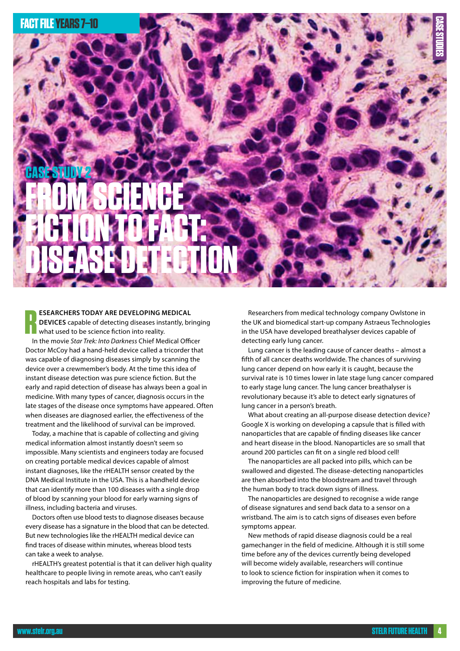

**R ESEARCHERS TODAY ARE DEVELOPING MEDICAL DEVICES** capable of detecting diseases instantly, bringing what used to be science fiction into reality.

In the movie *Star Trek: Into Darkness* Chief Medical Officer Doctor McCoy had a hand-held device called a tricorder that was capable of diagnosing diseases simply by scanning the device over a crewmember's body. At the time this idea of instant disease detection was pure science fiction. But the early and rapid detection of disease has always been a goal in medicine. With many types of cancer, diagnosis occurs in the late stages of the disease once symptoms have appeared. Often when diseases are diagnosed earlier, the effectiveness of the treatment and the likelihood of survival can be improved.

Today, a machine that is capable of collecting and giving medical information almost instantly doesn't seem so impossible. Many scientists and engineers today are focused on creating portable medical devices capable of almost instant diagnoses, like the rHEALTH sensor created by the DNA Medical Institute in the USA. This is a handheld device that can identify more than 100 diseases with a single drop of blood by scanning your blood for early warning signs of illness, including bacteria and viruses.

Doctors often use blood tests to diagnose diseases because every disease has a signature in the blood that can be detected. But new technologies like the rHEALTH medical device can find traces of disease within minutes, whereas blood tests can take a week to analyse.

rHEALTH's greatest potential is that it can deliver high quality healthcare to people living in remote areas, who can't easily reach hospitals and labs for testing.

Researchers from medical technology company Owlstone in the UK and biomedical start-up company Astraeus Technologies in the USA have developed breathalyser devices capable of detecting early lung cancer.

Lung cancer is the leading cause of cancer deaths – almost a fifth of all cancer deaths worldwide. The chances of surviving lung cancer depend on how early it is caught, because the survival rate is 10 times lower in late stage lung cancer compared to early stage lung cancer. The lung cancer breathalyser is revolutionary because it's able to detect early signatures of lung cancer in a person's breath.

What about creating an all-purpose disease detection device? Google X is working on developing a capsule that is filled with nanoparticles that are capable of finding diseases like cancer and heart disease in the blood. Nanoparticles are so small that around 200 particles can fit on a single red blood cell!

The nanoparticles are all packed into pills, which can be swallowed and digested. The disease-detecting nanoparticles are then absorbed into the bloodstream and travel through the human body to track down signs of illness.

The nanoparticles are designed to recognise a wide range of disease signatures and send back data to a sensor on a wristband. The aim is to catch signs of diseases even before symptoms appear.

New methods of rapid disease diagnosis could be a real gamechanger in the field of medicine. Although it is still some time before any of the devices currently being developed will become widely available, researchers will continue to look to science fiction for inspiration when it comes to improving the future of medicine.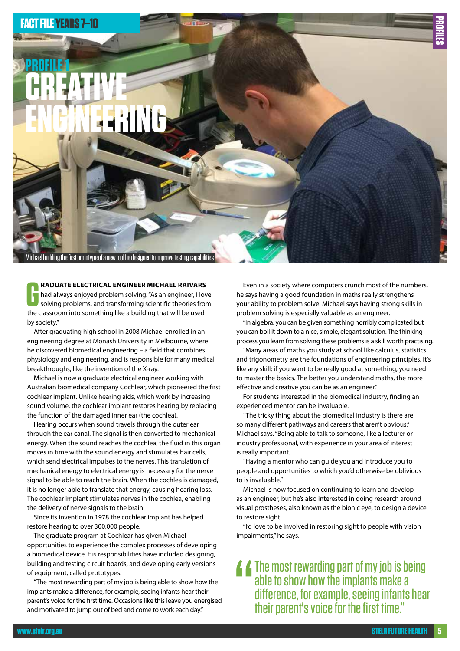

**GRADUATE ELECTRICAL ENGINEER MICHAEL RAIVARS**<br>had always enjoyed problem solving. "As an engineer, I low<br>solving problems, and transforming scientific theories fro<br>the classroom into something like a building that will be **RADUATE ELECTRICAL ENGINEER MICHAEL RAIVARS** had always enjoyed problem solving. "As an engineer, I love solving problems, and transforming scientific theories from by society."

After graduating high school in 2008 Michael enrolled in an engineering degree at Monash University in Melbourne, where he discovered biomedical engineering – a field that combines physiology and engineering, and is responsible for many medical breakthroughs, like the invention of the X-ray.

Michael is now a graduate electrical engineer working with Australian biomedical company Cochlear, which pioneered the first cochlear implant. Unlike hearing aids, which work by increasing sound volume, the cochlear implant restores hearing by replacing the function of the damaged inner ear (the cochlea).

Hearing occurs when sound travels through the outer ear through the ear canal. The signal is then converted to mechanical energy. When the sound reaches the cochlea, the fluid in this organ moves in time with the sound energy and stimulates hair cells, which send electrical impulses to the nerves. This translation of mechanical energy to electrical energy is necessary for the nerve signal to be able to reach the brain. When the cochlea is damaged, it is no longer able to translate that energy, causing hearing loss. The cochlear implant stimulates nerves in the cochlea, enabling the delivery of nerve signals to the brain.

Since its invention in 1978 the cochlear implant has helped restore hearing to over 300,000 people.

The graduate program at Cochlear has given Michael opportunities to experience the complex processes of developing a biomedical device. His responsibilities have included designing, building and testing circuit boards, and developing early versions of equipment, called prototypes.

"The most rewarding part of my job is being able to show how the implants make a difference, for example, seeing infants hear their parent's voice for the first time. Occasions like this leave you energised and motivated to jump out of bed and come to work each day."

Even in a society where computers crunch most of the numbers, he says having a good foundation in maths really strengthens your ability to problem solve. Michael says having strong skills in problem solving is especially valuable as an engineer.

"In algebra, you can be given something horribly complicated but you can boil it down to a nice, simple, elegant solution. The thinking process you learn from solving these problems is a skill worth practising.

"Many areas of maths you study at school like calculus, statistics and trigonometry are the foundations of engineering principles. It's like any skill: if you want to be really good at something, you need to master the basics. The better you understand maths, the more effective and creative you can be as an engineer."

For students interested in the biomedical industry, finding an experienced mentor can be invaluable.

"The tricky thing about the biomedical industry is there are so many different pathways and careers that aren't obvious," Michael says. "Being able to talk to someone, like a lecturer or industry professional, with experience in your area of interest is really important.

"Having a mentor who can guide you and introduce you to people and opportunities to which you'd otherwise be oblivious to is invaluable."

Michael is now focused on continuing to learn and develop as an engineer, but he's also interested in doing research around visual prostheses, also known as the bionic eye, to design a device to restore sight.

"I'd love to be involved in restoring sight to people with vision impairments," he says.

"<br>"<br>" The most rewarding part of my job is being able to show how the implants make a difference, for example, seeing infants hear their parent's voice for the first time."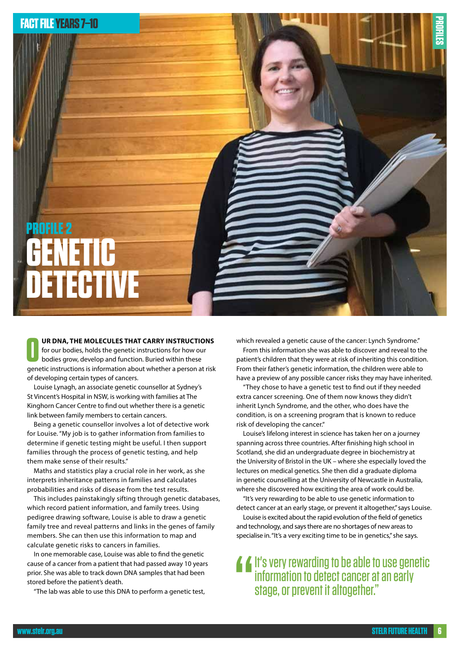

**O OR DNA, THE MOLECULES THAT CARRY INSTRUCTIONS**for our bodies, holds the genetic instructions for how our bodies grow, develop and function. Buried within these<br>
genetic instructions is information about whether a per **UR DNA, THE MOLECULES THAT CARRY INSTRUCTIONS**  for our bodies, holds the genetic instructions for how our bodies grow, develop and function. Buried within these of developing certain types of cancers.

Louise Lynagh, an associate genetic counsellor at Sydney's St Vincent's Hospital in NSW, is working with families at The Kinghorn Cancer Centre to find out whether there is a genetic link between family members to certain cancers.

Being a genetic counsellor involves a lot of detective work for Louise. "My job is to gather information from families to determine if genetic testing might be useful. I then support families through the process of genetic testing, and help them make sense of their results."

Maths and statistics play a crucial role in her work, as she interprets inheritance patterns in families and calculates probabilities and risks of disease from the test results.

This includes painstakingly sifting through genetic databases, which record patient information, and family trees. Using pedigree drawing software, Louise is able to draw a genetic family tree and reveal patterns and links in the genes of family members. She can then use this information to map and calculate genetic risks to cancers in families.

In one memorable case, Louise was able to find the genetic cause of a cancer from a patient that had passed away 10 years prior. She was able to track down DNA samples that had been stored before the patient's death.

"The lab was able to use this DNA to perform a genetic test,

which revealed a genetic cause of the cancer: Lynch Syndrome."

From this information she was able to discover and reveal to the patient's children that they were at risk of inheriting this condition. From their father's genetic information, the children were able to have a preview of any possible cancer risks they may have inherited.

"They chose to have a genetic test to find out if they needed extra cancer screening. One of them now knows they didn't inherit Lynch Syndrome, and the other, who does have the condition, is on a screening program that is known to reduce risk of developing the cancer."

Louise's lifelong interest in science has taken her on a journey spanning across three countries. After finishing high school in Scotland, she did an undergraduate degree in biochemistry at the University of Bristol in the UK – where she especially loved the lectures on medical genetics. She then did a graduate diploma in genetic counselling at the University of Newcastle in Australia, where she discovered how exciting the area of work could be.

"It's very rewarding to be able to use genetic information to detect cancer at an early stage, or prevent it altogether," says Louise.

Louise is excited about the rapid evolution of the field of genetics and technology, and says there are no shortages of new areas to specialise in. "It's a very exciting time to be in genetics," she says.

# " It's very rewarding to be able to use genetic information to detect cancer at an early stage, or prevent it altogether."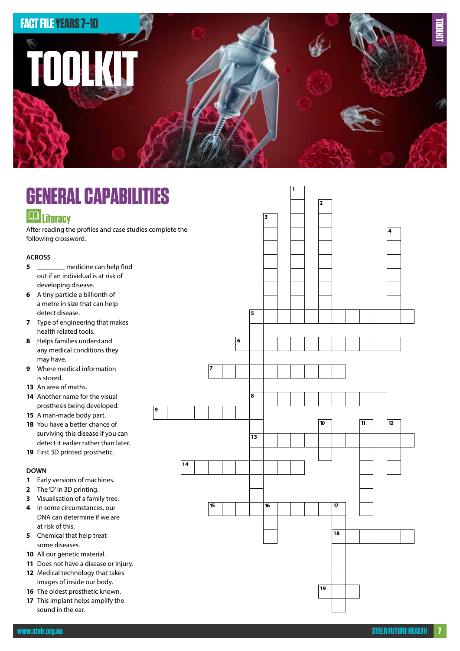

#### **GENERAL CAPABILITIES Literacy** After reading the profiles and case studies complete the following crossword. **9 18 10 11 12 19 5 6 13 14 15 15 15 16 16 16 17 17 16 17 17 4 3 2 1 ACROSS 5** \_\_\_\_\_\_\_\_ medicine can help find out if an individual is at risk of developing disease. **6** A tiny particle a billionth of a metre in size that can help detect disease. **7** Type of engineering that makes health related tools. **8** Helps families understand any medical conditions they may have. **9** Where medical information is stored. **13** An area of maths. **14** Another name for the visual prosthesis being developed. **15** A man-made body part. **18** You have a better chance of surviving this disease if you can detect it earlier rather than later. **19** First 3D printed prosthetic. **DOWN 1** Early versions of machines. **2** The 'D' in 3D printing. **3** Visualisation of a family tree. **4** In some circumstances, our DNA can determine if we are at risk of this. **5** Chemical that help treat some diseases. **10** All our genetic material. **11** Does not have a disease or injury. **12** Medical technology that takes images of inside our body. **16** The oldest prosthetic known.

**17** This implant helps amplify the sound in the ear.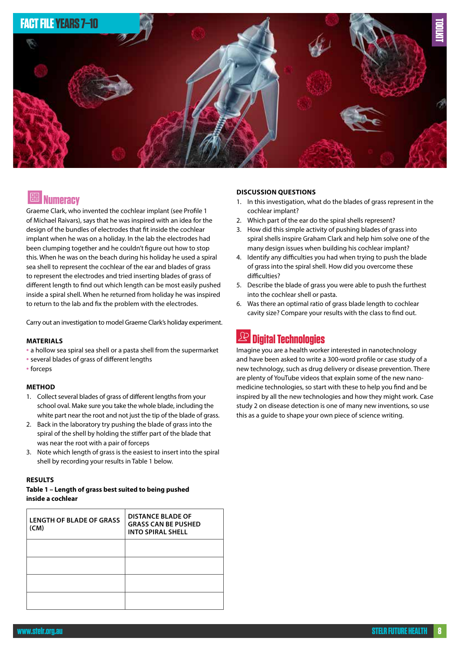

## **REE** Numeracy

Graeme Clark, who invented the cochlear implant (see Profile 1 of Michael Raivars), says that he was inspired with an idea for the design of the bundles of electrodes that fit inside the cochlear implant when he was on a holiday. In the lab the electrodes had been clumping together and he couldn't figure out how to stop this. When he was on the beach during his holiday he used a spiral sea shell to represent the cochlear of the ear and blades of grass to represent the electrodes and tried inserting blades of grass of different length to find out which length can be most easily pushed inside a spiral shell. When he returned from holiday he was inspired to return to the lab and fix the problem with the electrodes.

Carry out an investigation to model Graeme Clark's holiday experiment.

#### **MATERIALS**

- a hollow sea spiral sea shell or a pasta shell from the supermarket
- several blades of grass of different lengths
- forceps

#### **METHOD**

- 1. Collect several blades of grass of different lengths from your school oval. Make sure you take the whole blade, including the white part near the root and not just the tip of the blade of grass.
- 2. Back in the laboratory try pushing the blade of grass into the spiral of the shell by holding the stiffer part of the blade that was near the root with a pair of forceps
- 3. Note which length of grass is the easiest to insert into the spiral shell by recording your results in Table 1 below.

#### **RESULTS**

#### **Table 1 – Length of grass best suited to being pushed inside a cochlear**

| <b>LENGTH OF BLADE OF GRASS</b><br>(CM) | <b>DISTANCE BLADE OF</b><br><b>GRASS CAN BE PUSHED</b><br><b>INTO SPIRAL SHELL</b> |
|-----------------------------------------|------------------------------------------------------------------------------------|
|                                         |                                                                                    |
|                                         |                                                                                    |
|                                         |                                                                                    |
|                                         |                                                                                    |

#### **DISCUSSION QUESTIONS**

- 1. In this investigation, what do the blades of grass represent in the cochlear implant?
- 2. Which part of the ear do the spiral shells represent?
- 3. How did this simple activity of pushing blades of grass into spiral shells inspire Graham Clark and help him solve one of the many design issues when building his cochlear implant?
- 4. Identify any difficulties you had when trying to push the blade of grass into the spiral shell. How did you overcome these difficulties?
- 5. Describe the blade of grass you were able to push the furthest into the cochlear shell or pasta.
- 6. Was there an optimal ratio of grass blade length to cochlear cavity size? Compare your results with the class to find out.

# **Digital Technologies**

Imagine you are a health worker interested in nanotechnology and have been asked to write a 300-word profile or case study of a new technology, such as drug delivery or disease prevention. There are plenty of YouTube videos that explain some of the new nanomedicine technologies, so start with these to help you find and be inspired by all the new technologies and how they might work. Case study 2 on disease detection is one of many new inventions, so use this as a guide to shape your own piece of science writing.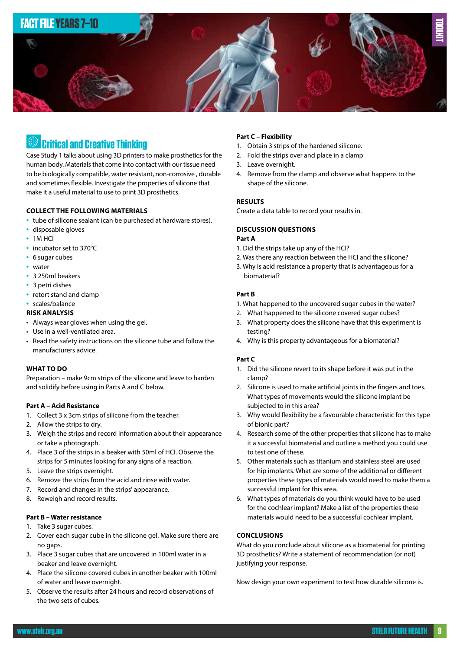

## **Critical and Creative Thinking**

Case Study 1 talks about using 3D printers to make prosthetics for the human body. Materials that come into contact with our tissue need to be biologically compatible, water resistant, non-corrosive , durable and sometimes flexible. Investigate the properties of silicone that make it a useful material to use to print 3D prosthetics.

#### **COLLECT THE FOLLOWING MATERIALS**

- tube of silicone sealant (can be purchased at hardware stores).
- disposable gloves
- 1M HCI
- incubator set to 370°C
- 6 sugar cubes
- water
- 3 250ml beakers
- 3 petri dishes
- retort stand and clamp
- scales/balance

#### **RISK ANALYSIS**

- Always wear gloves when using the gel.
- Use in a well-ventilated area.
- Read the safety instructions on the silicone tube and follow the manufacturers advice.

#### **WHAT TO DO**

Preparation – make 9cm strips of the silicone and leave to harden and solidify before using in Parts A and C below.

#### **Part A – Acid Resistance**

- 1. Collect 3 x 3cm strips of silicone from the teacher.
- 2. Allow the strips to dry.
- 3. Weigh the strips and record information about their appearance or take a photograph.
- 4. Place 3 of the strips in a beaker with 50ml of HCI. Observe the strips for 5 minutes looking for any signs of a reaction.
- 5. Leave the strips overnight.
- 6. Remove the strips from the acid and rinse with water.
- 7. Record and changes in the strips' appearance.
- 8. Reweigh and record results.

#### **Part B – Water resistance**

- 1. Take 3 sugar cubes.
- 2. Cover each sugar cube in the silicone gel. Make sure there are no gaps.
- 3. Place 3 sugar cubes that are uncovered in 100ml water in a beaker and leave overnight.
- 4. Place the silicone covered cubes in another beaker with 100ml of water and leave overnight.
- 5. Observe the results after 24 hours and record observations of the two sets of cubes.

#### **Part C – Flexibility**

- 1. Obtain 3 strips of the hardened silicone.
- 2. Fold the strips over and place in a clamp
- 3. Leave overnight.
- 4. Remove from the clamp and observe what happens to the shape of the silicone.

#### **RESULTS**

Create a data table to record your results in.

#### **DISCUSSION QUESTIONS Part A**

- 1. Did the strips take up any of the HCI?
- 2. Was there any reaction between the HCI and the silicone?
- 3. Why is acid resistance a property that is advantageous for a biomaterial?

#### **Part B**

- 1. What happened to the uncovered sugar cubes in the water?
- 2. What happened to the silicone covered sugar cubes?
- 3. What property does the silicone have that this experiment is testing?
- 4. Why is this property advantageous for a biomaterial?

#### **Part C**

- 1. Did the silicone revert to its shape before it was put in the clamp?
- 2. Silicone is used to make artificial joints in the fingers and toes. What types of movements would the silicone implant be subjected to in this area?
- 3. Why would flexibility be a favourable characteristic for this type of bionic part?
- 4. Research some of the other properties that silicone has to make it a successful biomaterial and outline a method you could use to test one of these.
- 5. Other materials such as titanium and stainless steel are used for hip implants. What are some of the additional or different properties these types of materials would need to make them a successful implant for this area.
- 6. What types of materials do you think would have to be used for the cochlear implant? Make a list of the properties these materials would need to be a successful cochlear implant.

#### **CONCLUSIONS**

What do you conclude about silicone as a biomaterial for printing 3D prosthetics? Write a statement of recommendation (or not) justifying your response.

Now design your own experiment to test how durable silicone is.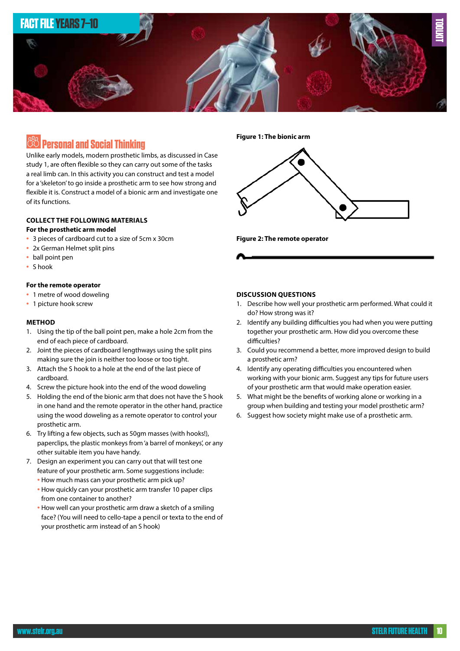

### **Personal and Social Thinking**

Unlike early models, modern prosthetic limbs, as discussed in Case study 1, are often flexible so they can carry out some of the tasks a real limb can. In this activity you can construct and test a model for a 'skeleton' to go inside a prosthetic arm to see how strong and flexible it is. Construct a model of a bionic arm and investigate one of its functions.

#### **COLLECT THE FOLLOWING MATERIALS For the prosthetic arm model**

- 3 pieces of cardboard cut to a size of 5cm x 30cm
- 2x German Helmet split pins
- ball point pen
- S hook

#### **For the remote operator**

- 1 metre of wood doweling
- 1 picture hook screw

#### **METHOD**

- 1. Using the tip of the ball point pen, make a hole 2cm from the end of each piece of cardboard.
- 2. Joint the pieces of cardboard lengthways using the split pins making sure the join is neither too loose or too tight.
- 3. Attach the S hook to a hole at the end of the last piece of cardboard.
- 4. Screw the picture hook into the end of the wood doweling
- 5. Holding the end of the bionic arm that does not have the S hook in one hand and the remote operator in the other hand, practice using the wood doweling as a remote operator to control your prosthetic arm.
- 6. Try lifting a few objects, such as 50gm masses (with hooks!), paperclips, the plastic monkeys from 'a barrel of monkeys', or any other suitable item you have handy.
- 7. Design an experiment you can carry out that will test one feature of your prosthetic arm. Some suggestions include:
	- How much mass can your prosthetic arm pick up?
	- How quickly can your prosthetic arm transfer 10 paper clips from one container to another?
	- How well can your prosthetic arm draw a sketch of a smiling face? (You will need to cello-tape a pencil or texta to the end of your prosthetic arm instead of an S hook)

**Figure 1: The bionic arm**



**Figure 2: The remote operator**



- 1. Describe how well your prosthetic arm performed. What could it do? How strong was it?
- 2. Identify any building difficulties you had when you were putting together your prosthetic arm. How did you overcome these difficulties?
- 3. Could you recommend a better, more improved design to build a prosthetic arm?
- 4. Identify any operating difficulties you encountered when working with your bionic arm. Suggest any tips for future users of your prosthetic arm that would make operation easier.
- 5. What might be the benefits of working alone or working in a group when building and testing your model prosthetic arm?
- 6. Suggest how society might make use of a prosthetic arm.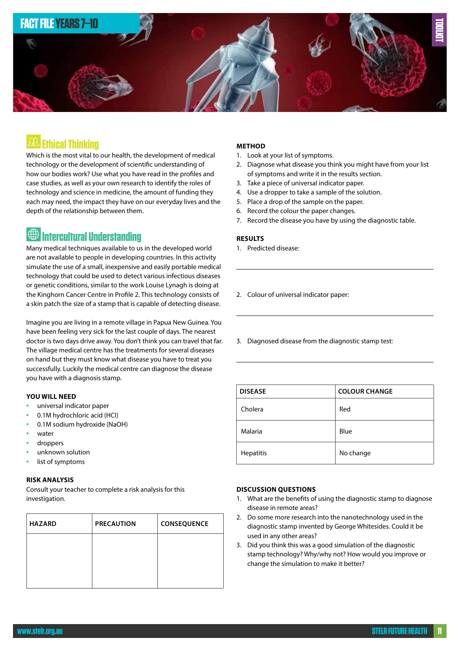

## **Ethical Thinking**

Which is the most vital to our health, the development of medical technology or the development of scientific understanding of how our bodies work? Use what you have read in the profiles and case studies, as well as your own research to identify the roles of technology and science in medicine, the amount of funding they each may need, the impact they have on our everyday lives and the depth of the relationship between them.

# **<sup><sup>1</sup>** Intercultural Understanding</sup>

Many medical techniques available to us in the developed world are not available to people in developing countries. In this activity simulate the use of a small, inexpensive and easily portable medical technology that could be used to detect various infectious diseases or genetic conditions, similar to the work Louise Lynagh is doing at the Kinghorn Cancer Centre in Profile 2. This technology consists of a skin patch the size of a stamp that is capable of detecting disease.

Imagine you are living in a remote village in Papua New Guinea. You have been feeling very sick for the last couple of days. The nearest doctor is two days drive away. You don't think you can travel that far. The village medical centre has the treatments for several diseases on hand but they must know what disease you have to treat you successfully. Luckily the medical centre can diagnose the disease you have with a diagnosis stamp.

#### **YOU WILL NEED**

- universal indicator paper
- 0.1M hydrochloric acid (HCI)
- 0.1M sodium hydroxide (NaOH)
- water
- droppers
- unknown solution
- list of symptoms

#### **RISK ANALYSIS**

Consult your teacher to complete a risk analysis for this investigation.

| <b>HAZARD</b> | <b>PRECAUTION</b> | <b>CONSEQUENCE</b> |
|---------------|-------------------|--------------------|
|               |                   |                    |
|               |                   |                    |
|               |                   |                    |

#### **METHOD**

- 1. Look at your list of symptoms.
- 2. Diagnose what disease you think you might have from your list of symptoms and write it in the results section.
- 3. Take a piece of universal indicator paper.
- 4. Use a dropper to take a sample of the solution.
- 5. Place a drop of the sample on the paper.
- 6. Record the colour the paper changes.
- 7. Record the disease you have by using the diagnostic table.

#### **RESULTS**

- 1. Predicted disease:
- 2. Colour of universal indicator paper:
- 3. Diagnosed disease from the diagnostic stamp test:

| <b>DISEASE</b>   | <b>COLOUR CHANGE</b> |
|------------------|----------------------|
| Cholera          | Red                  |
| Malaria          | Blue                 |
| <b>Hepatitis</b> | No change            |

#### **DISCUSSION QUESTIONS**

- 1. What are the benefits of using the diagnostic stamp to diagnose disease in remote areas?
- 2. Do some more research into the nanotechnology used in the diagnostic stamp invented by George Whitesides. Could it be used in any other areas?
- 3. Did you think this was a good simulation of the diagnostic stamp technology? Why/why not? How would you improve or change the simulation to make it better?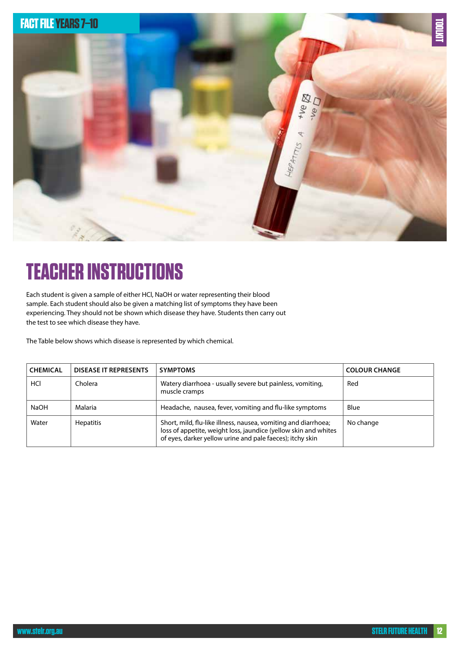

# **TEACHER INSTRUCTIONS**

Each student is given a sample of either HCl, NaOH or water representing their blood sample. Each student should also be given a matching list of symptoms they have been experiencing. They should not be shown which disease they have. Students then carry out the test to see which disease they have.

The Table below shows which disease is represented by which chemical.

| <b>CHEMICAL</b> | <b>DISEASE IT REPRESENTS</b> | <b>SYMPTOMS</b>                                                                                                                                                                                | <b>COLOUR CHANGE</b> |
|-----------------|------------------------------|------------------------------------------------------------------------------------------------------------------------------------------------------------------------------------------------|----------------------|
| HCI             | Cholera                      | Watery diarrhoea - usually severe but painless, vomiting,<br>muscle cramps                                                                                                                     | Red                  |
| <b>NaOH</b>     | Malaria                      | Headache, nausea, fever, vomiting and flu-like symptoms                                                                                                                                        | Blue                 |
| Water           | <b>Hepatitis</b>             | Short, mild, flu-like illness, nausea, vomiting and diarrhoea;<br>loss of appetite, weight loss, jaundice (yellow skin and whites<br>of eyes, darker yellow urine and pale faeces); itchy skin | No change            |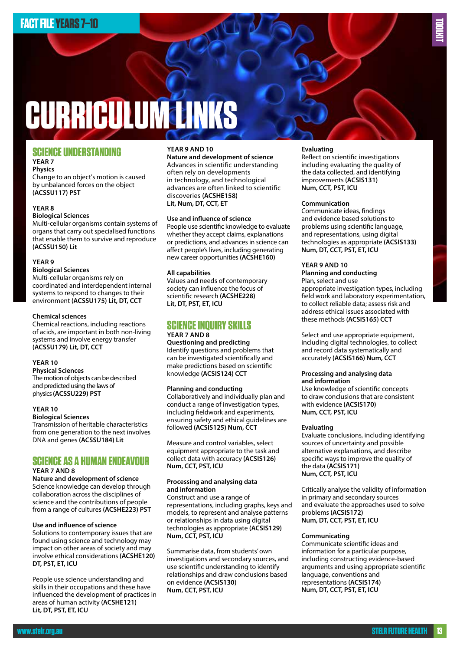# **CURRICULUM LINKS**

#### **SCIENCE UNDERSTANDING YEAR 7**

#### **Physics**

Change to an object's motion is caused by unbalanced forces on the object **(ACSSU117) PST**

#### **YEAR 8**

#### **Biological Sciences**

Multi-cellular organisms contain systems of organs that carry out specialised functions that enable them to survive and reproduce **(ACSSU150) Lit**

#### **YEAR 9**

#### **Biological Sciences**

Multi-cellular organisms rely on coordinated and interdependent internal systems to respond to changes to their environment **(ACSSU175) Lit, DT, CCT**

#### **Chemical sciences**

Chemical reactions, including reactions of acids, are important in both non-living systems and involve energy transfer **(ACSSU179) Lit, DT, CCT**

#### **YEAR 10**

**Physical Sciences**  The motion of objects can be described and predicted using the laws of physics **(ACSSU229) PST**

#### **YEAR 10**

**Biological Sciences** Transmission of heritable characteristics from one generation to the next involves DNA and genes **(ACSSU184) Lit**

#### **SCIENCE AS A HUMAN ENDEAVOUR YEAR 7 AND 8**

**Nature and development of science** Science knowledge can develop through collaboration across the disciplines of science and the contributions of people from a range of cultures **(ACSHE223) PST**

#### **Use and influence of science**

Solutions to contemporary issues that are found using science and technology may impact on other areas of society and may involve ethical considerations **(ACSHE120) DT, PST, ET, ICU**

People use science understanding and skills in their occupations and these have influenced the development of practices in areas of human activity **(ACSHE121) Lit, DT, PST, ET, ICU**

#### **YEAR 9 AND 10**

**Nature and development of science** Advances in scientific understanding often rely on developments in technology, and technological advances are often linked to scientific discoveries **(ACSHE158) Lit, Num, DT, CCT, ET**

#### **Use and influence of science**

People use scientific knowledge to evaluate whether they accept claims, explanations or predictions, and advances in science can affect people's lives, including generating new career opportunities **(ACSHE160)**

#### **All capabilities**

Values and needs of contemporary society can influence the focus of scientific research **(ACSHE228) Lit, DT, PST, ET, ICU**

#### **SCIENCE INQUIRY SKILLS YEAR 7 AND 8**

**Questioning and predicting** Identify questions and problems that can be investigated scientifically and make predictions based on scientific knowledge **(ACSIS124) CCT**

#### **Planning and conducting**

Collaboratively and individually plan and conduct a range of investigation types, including fieldwork and experiments, ensuring safety and ethical guidelines are followed **(ACSIS125) Num, CCT**

Measure and control variables, select equipment appropriate to the task and collect data with accuracy **(ACSIS126) Num, CCT, PST, ICU**

#### **Processing and analysing data and information**

Construct and use a range of representations, including graphs, keys and models, to represent and analyse patterns or relationships in data using digital technologies as appropriate **(ACSIS129) Num, CCT, PST, ICU**

Summarise data, from students' own investigations and secondary sources, and use scientific understanding to identify relationships and draw conclusions based on evidence **(ACSIS130) Num, CCT, PST, ICU**

#### **Evaluating**

Reflect on scientific investigations including evaluating the quality of the data collected, and identifying improvements **(ACSIS131) Num, CCT, PST, ICU**

**TOOLKIT**

#### **Communication**

Communicate ideas, findings and evidence based solutions to problems using scientific language, and representations, using digital technologies as appropriate **(ACSIS133) Num, DT, CCT, PST, ET, ICU**

#### **YEAR 9 AND 10**

**Planning and conducting**

Plan, select and use appropriate investigation types, including field work and laboratory experimentation, to collect reliable data; assess risk and address ethical issues associated with these methods **(ACSIS165) CCT**

Select and use appropriate equipment, including digital technologies, to collect and record data systematically and accurately **(ACSIS166) Num, CCT**

#### **Processing and analysing data and information**

Use knowledge of scientific concepts to draw conclusions that are consistent with evidence **(ACSIS170) Num, CCT, PST, ICU**

#### **Evaluating**

Evaluate conclusions, including identifying sources of uncertainty and possible alternative explanations, and describe specific ways to improve the quality of the data **(ACSIS171) Num, CCT, PST, ICU**

Critically analyse the validity of information in primary and secondary sources and evaluate the approaches used to solve problems **(ACSIS172) Num, DT, CCT, PST, ET, ICU**

#### **Communicating**

Communicate scientific ideas and information for a particular purpose, including constructing evidence-based arguments and using appropriate scientific language, conventions and representations **(ACSIS174) Num, DT, CCT, PST, ET, ICU**